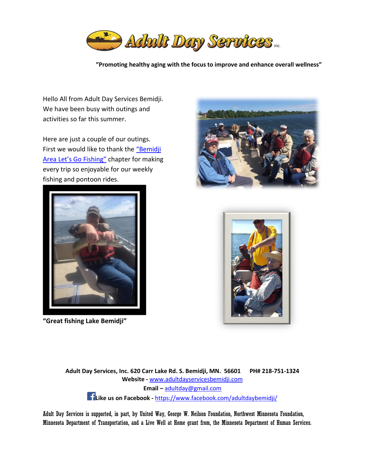

**"Promoting healthy aging with the focus to improve and enhance overall wellness"**

Hello All from Adult Day Services Bemidji. We have been busy with outings and activities so far this summer.

Here are just a couple of our outings. First we would like to thank the "Bemidji [Area Let's Go Fishing"](http://bemidji.lgfws.com/) chapter for making every trip so enjoyable for our weekly fishing and pontoon rides.



**"Great fishing Lake Bemidji"**





**Adult Day Services, Inc. 620 Carr Lake Rd. S. Bemidji, MN. 56601 PH# 218-751-1324 Website -** [www.adultdayservicesbemidji.com](http://www.adultdayservicesbemidji.com/) **Email –** [adultday@gmail.com](mailto:adultday@gmail.com) **[L](https://www.facebook.com/adultdaybemidji/)ike us on Facebook -** <https://www.facebook.com/adultdaybemidji/>

Adult Day Services is supported, in part, by United Way, George W. Neilson Foundation, Northwest Minnesota Foundation, Minnesota Department of Transportation, and a Live Well at Home grant from, the Minnesota Department of Human Services.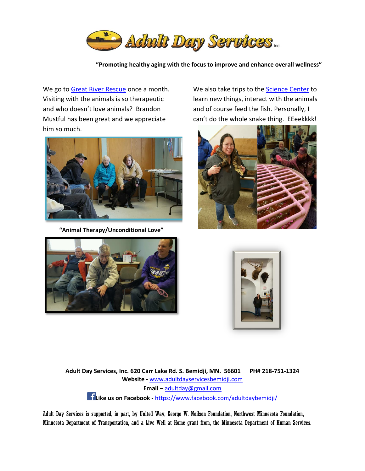

**"Promoting healthy aging with the focus to improve and enhance overall wellness"**

We go to [Great River Rescue](http://www.greatriverrescue.com/) once a month. Visiting with the animals is so therapeutic and who doesn't love animals? Brandon Mustful has been great and we appreciate him so much.



**"Animal Therapy/Unconditional Love"** 

We also take trips to the [Science Center](https://www.hscbemidji.org/) to learn new things, interact with the animals and of course feed the fish. Personally, I can't do the whole snake thing. EEeekkkk!







**Adult Day Services, Inc. 620 Carr Lake Rd. S. Bemidji, MN. 56601 PH# 218-751-1324 Website -** [www.adultdayservicesbemidji.com](http://www.adultdayservicesbemidji.com/) **Email –** [adultday@gmail.com](mailto:adultday@gmail.com) **[L](https://www.facebook.com/adultdaybemidji/)ike us on Facebook -** <https://www.facebook.com/adultdaybemidji/>

Adult Day Services is supported, in part, by United Way, George W. Neilson Foundation, Northwest Minnesota Foundation, Minnesota Department of Transportation, and a Live Well at Home grant from, the Minnesota Department of Human Services.